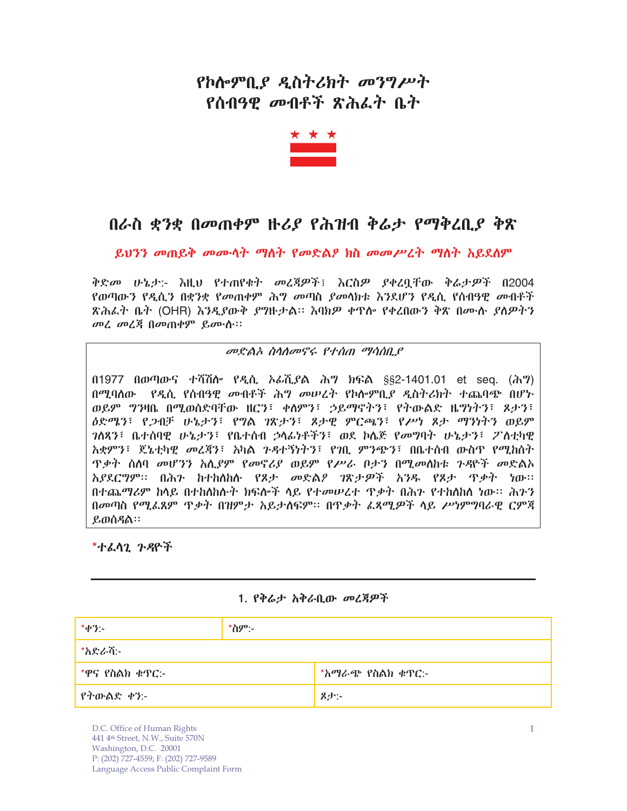# የኮሎምቢያ ዲስትሪክት መንግሥት የሰብዓዊ መብቶች ጽሕፌት ቤት



## በራስ ቋንቋ በመጠቀም ዙሪያ የሕዝብ ቅሬታ የማቅረቢያ ቅጽ

ይህንን መጠይቅ መሙሳት ማስት የመድልዖ ክስ መመሥረት ማስት አይደሰም

ቅድመ ሁኔታ:- እዚህ የተጠየቁት መረጃዎች፤ እርስዎ ያቀረቧቸው ቅሬታዎች በ2004 የወጣው*ን* የዲሲ*ን* በቋንቋ የ*መ*ጠቀም ሕግ *መ*ጣስ *ያመ*ሳክቱ እንደሆን የዲሲ የሰብዓዊ መብቶች ጽሕፌት ቤት (OHR) እ*ንዲያ*ውቅ *ያግ*ዙታል። እባክዎ ቀጥሎ የቀረበውን ቅጽ በሙሉ *ያ*ለዎትን መሬ መሬጃ በመጠቀም ይሙሱ።

### መድልአ ስሳለመኖሩ የተሰጠ ማሳሰቢያ

በ1977 በወጣውና ተሻሽስ የዲሲ ኦራሺያል ሕግ ክፍል §§2-1401.01 et seq. (ሕግ) በሚባሰው የዲሲ የሰብዓዊ መብቶች ሕግ መሠረት የኮሎምቢያ ዲስትሪክት ተጨባጭ በሆኑ ወይም ግንዛቤ በሚወሰድባቸው ዘርን፣ ቀስምን፣ ኃይማኖትን፣ የትውልድ ዜግነትን፣ ጾታን፣ ዕድሜን፣ የጋብቻ ሁኔታን፣ የግል ገጽታን፣ ጾታዊ ምርጫን፣ የሥነ ጾታ ማንነትን ወይም *ገ*ለጸን፣ ቤተሰባዊ ሁኔታን፣ የቤተሰብ ኃላፊነቶችን፣ ወደ ኮሌጅ የመግባት ሁኔታን፣ ፖስቲካዊ አቋምን፣ ጄኔቲካዊ መረጃን፣ አካል ንዳተኝነትን፣ የንቢ ምንጭን፣ በቤተሰብ ውስጥ የሚከሰት <u>ዋቃት ስለባ መሆንን አሊያም የመኖሪያ ወይም የሥራ ቦታን በሚመስከቱ ጉዳዮች መድልአ</u> አያደርግም። በሕን ከተከሰከሉ የጾታ መድልዖ ገጽታዎች አንዱ የጾታ ጥቃት ነው። በተጨማሪም ከላይ በተከሰከሱት ክፍሎች ላይ የተመሠረተ ዋቃት በሕን የተከሰከሰ ነው። ሕንን በመጣስ የሚፌጸም ጥቃት በዝምታ አይታሰፍም፡፡ በጥቃት ፌጻሚዎች ላይ ሥነምግባራዊ ርምጃ ይወሰዳል።

\*ተፈሳጊ ጉዳዮች

### 1. የቅሬታ አቅራቢው መረጃዎች

| $*$ <i>ቀ</i> ?:-  | $*$ ስም:- |                  |
|-------------------|----------|------------------|
| *አድራሻ፦            |          |                  |
| $*$ ዋና የስልክ ቁጥር:- |          | *አማራጭ የስልክ ቁጥር:- |
| የትውልድ ቀን፦         |          | 8小:-             |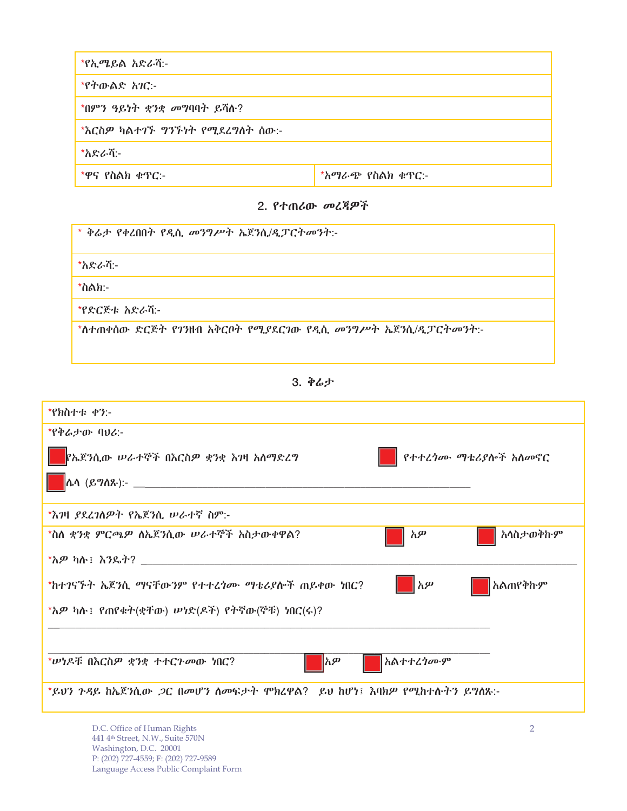| *የኢሜይል አድራሽ:-                  |                     |  |
|--------------------------------|---------------------|--|
| *የተውልድ <i>አገ</i> ር:-           |                     |  |
| *በምን ዓይነት ቋንቋ መግባባት ይሻሉ?       |                     |  |
| *እርስዎ ካልተገኙ ግንኙነት የሚደረግስት ሰው:- |                     |  |
| *አድራሻ፦                         |                     |  |
| $*$ ዋና የስልክ ቁጥር:-              | $*$ አማራጭ የስልክ ቁጥር:- |  |

#### 2. የተጠሪው *መ*ረጃዎች

| * ቅሬታ የቀረበበት የዲሲ መንግሥት ኤጀንሲ/ዲፓርትመንት:-                     |
|-----------------------------------------------------------|
| *አድራሻ፦                                                    |
| *ስልክ:-                                                    |
| *የድርጅቱ አድራሻ፦                                              |
| *ስተጠቀሰው ድርጅት የገንዘብ አቅርቦት የሚያደርገው የዲሲ መንግሥት ኤጀንሲ/ዲፓርትመንት:- |

3.

| *የክስተቱ ቀን:-                                                               |
|---------------------------------------------------------------------------|
| *የቀሬታው ባህሪ:-                                                              |
| <mark>የኤጀንሲው ሥራተኞች በእርስዎ ቋንቋ እንዛ አስማድረግ</mark><br>የተተረጎሙ ማቴሪያሎች አሰመኖር     |
|                                                                           |
| *እንዛ <i>ያ</i> ደረ <i>ገ</i> ለዎት የኤጀንሲ ሥራተኛ ስም:-                             |
| አሳስታወቅኩም<br>*ስስ ቋንቋ ምርጫዎ ስኤጀንሲው ሠራተኞች አስታውቀዋል?<br>አዎ                      |
|                                                                           |
| $\parallel$ አዎ<br>*ከተገናኙት ኤጀንሲ ማናቸውንም የተተረጎሙ ማቴሪያሎች ጠይቀው ነበር?<br>አልጠየቅኩም  |
| *አዎ ካሉ፤ የጠየቁት(ቋቸው) ሠነድ(ዶች) የትኛው(ኞቹ) ነበር(ሩ)?                               |
|                                                                           |
| አልተተረ <i>ነ</i> ሙም<br>*ሥነዶቹ በእርስዎ ቋንቋ ተተርጉመው ነበር?<br> አዎ                   |
| *ይሀን ጉዳይ ከኤጀንሲው <i>ጋ</i> ር በመሆን ስመፍታት ሞክረዋል?  ይህ ከሆነ፤ እባክዎ የሚከተሱትን ይግስጹ:- |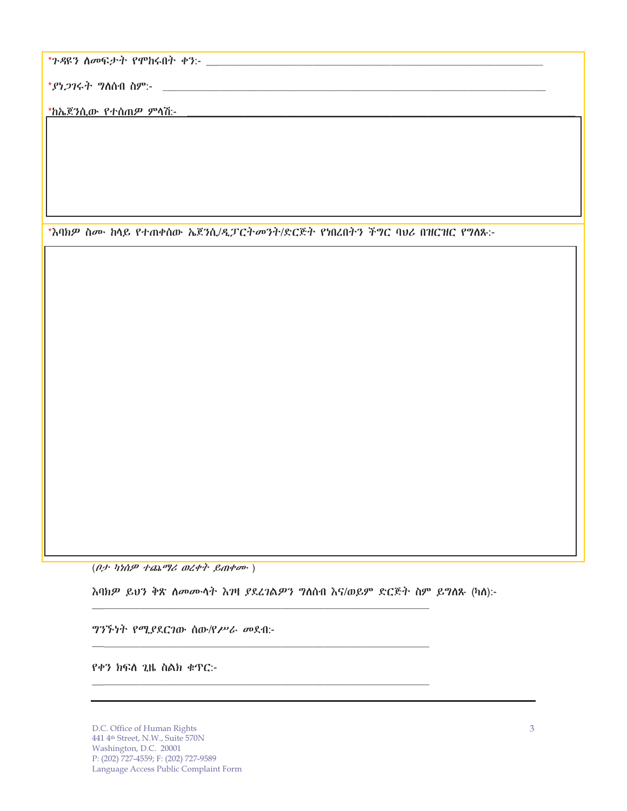\*ያነ*ጋገ*ሩት ግስሰብ ስም:- \_

\*እባክዎ ስሙ ከላይ የተጠቀሰው ኤጀንሲ/ዲፓርትመንት/ድርጅት የነበረበትን ችግር ባህሪ በዝርዝር የግለጹ:-

 $(\rho$ ታ ካነሰዎ ተጨማሪ ወረቀት ይጠቀሙ)

እባክዎ ይህን ቅጽ ስመሙሳት እንዛ ያደረገልዎን ግስስብ እና/ወይም ድርጅት ስም ይግስጹ (ካስ):-

*ግንኙነት የሚያ*ደርገው ሰው/የ*ሥራ መ*ደብ:-

የቀን ክፍስ ጊዜ ስልክ ቁጥር:-

D.C. Office of Human Rights 441 4th Street, N.W., Suite 570N Washington, D.C. 20001 P: (202) 727-4559; F: (202) 727-9589 Language Access Public Complaint Form